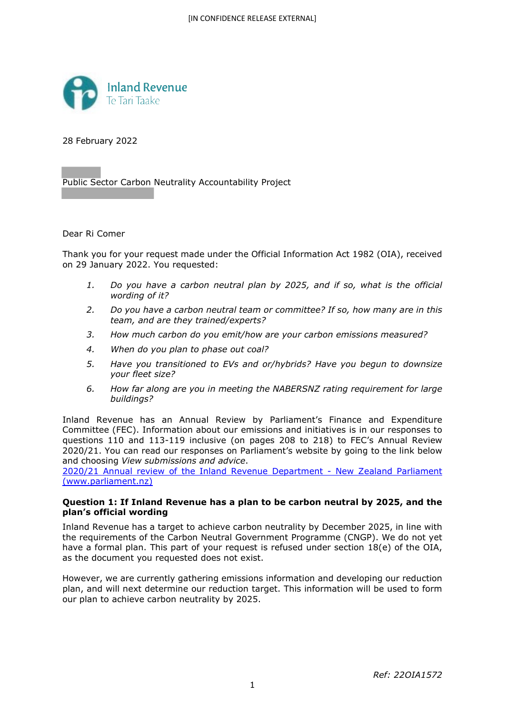

28 February 2022

Public Sector Carbon Neutrality Accountability Project

Dear Ri Comer

Thank you for your request made under the Official Information Act 1982 (OIA), received on 29 January 2022. You requested:

- *1. Do you have a carbon neutral plan by 2025, and if so, what is the official wording of it?*
- *2. Do you have a carbon neutral team or committee? If so, how many are in this team, and are they trained/experts?*
- *3. How much carbon do you emit/how are your carbon emissions measured?*
- *4. When do you plan to phase out coal?*
- *5. Have you transitioned to EVs and or/hybrids? Have you begun to downsize your fleet size?*
- *6. How far along are you in meeting the NABERSNZ rating requirement for large buildings?*

Inland Revenue has an Annual Review by Parliament's Finance and Expenditure Committee (FEC). Information about our emissions and initiatives is in our responses to questions 110 and 113-119 inclusive (on pages 208 to 218) to FEC's Annual Review 2020/21. You can read our responses on Parliament's website by going to the link below and choosing *View submissions and advice*.

2020/21 Annual review of the Inland Revenue Department - New Zealand Parliament (www.parliament.nz)

# **Question 1: If Inland Revenue has a plan to be carbon neutral by 2025, and the plan's official wording**

Inland Revenue has a target to achieve carbon neutrality by December 2025, in line with the requirements of the Carbon Neutral Government Programme (CNGP). We do not yet have a formal plan. This part of your request is refused under section 18(e) of the OIA, as the document you requested does not exist.

However, we are currently gathering emissions information and developing our reduction plan, and will next determine our reduction target. This information will be used to form our plan to achieve carbon neutrality by 2025.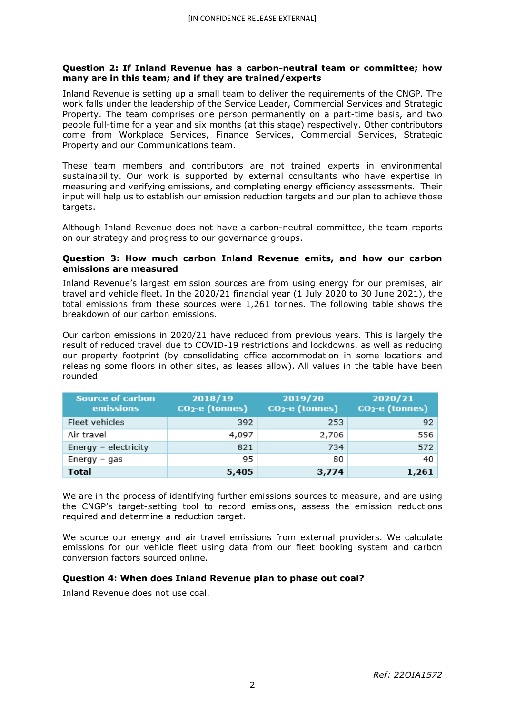### **Question 2: If Inland Revenue has a carbon-neutral team or committee; how many are in this team; and if they are trained/experts**

Inland Revenue is setting up a small team to deliver the requirements of the CNGP. The work falls under the leadership of the Service Leader, Commercial Services and Strategic Property. The team comprises one person permanently on a part-time basis, and two people full-time for a year and six months (at this stage) respectively. Other contributors come from Workplace Services, Finance Services, Commercial Services, Strategic Property and our Communications team.

These team members and contributors are not trained experts in environmental sustainability. Our work is supported by external consultants who have expertise in measuring and verifying emissions, and completing energy efficiency assessments. Their input will help us to establish our emission reduction targets and our plan to achieve those targets.

Although Inland Revenue does not have a carbon-neutral committee, the team reports on our strategy and progress to our governance groups.

### **Question 3: How much carbon Inland Revenue emits, and how our carbon emissions are measured**

Inland Revenue's largest emission sources are from using energy for our premises, air travel and vehicle fleet. In the 2020/21 financial year (1 July 2020 to 30 June 2021), the total emissions from these sources were 1,261 tonnes. The following table shows the breakdown of our carbon emissions.

Our carbon emissions in 2020/21 have reduced from previous years. This is largely the result of reduced travel due to COVID-19 restrictions and lockdowns, as well as reducing our property footprint (by consolidating office accommodation in some locations and releasing some floors in other sites, as leases allow). All values in the table have been rounded.

| <b>Source of carbon</b><br>emissions | 2018/19<br>$CO2-e$ (tonnes) | 2019/20<br>$CO2-e$ (tonnes) | 2020/21<br>$CO2-e$ (tonnes) |
|--------------------------------------|-----------------------------|-----------------------------|-----------------------------|
| Fleet vehicles                       | 392                         | 253                         | 92                          |
| Air travel                           | 4,097                       | 2,706                       | 556                         |
| Energy - electricity                 | 821                         | 734                         | 572                         |
| $Energy - gas$                       | 95                          | 80                          | 40                          |
| <b>Total</b>                         | 5,405                       | 3,774                       | 1,261                       |

We are in the process of identifying further emissions sources to measure, and are using the CNGP's target-setting tool to record emissions, assess the emission reductions required and determine a reduction target.

We source our energy and air travel emissions from external providers. We calculate emissions for our vehicle fleet using data from our fleet booking system and carbon conversion factors sourced online.

# **Question 4: When does Inland Revenue plan to phase out coal?**

Inland Revenue does not use coal.